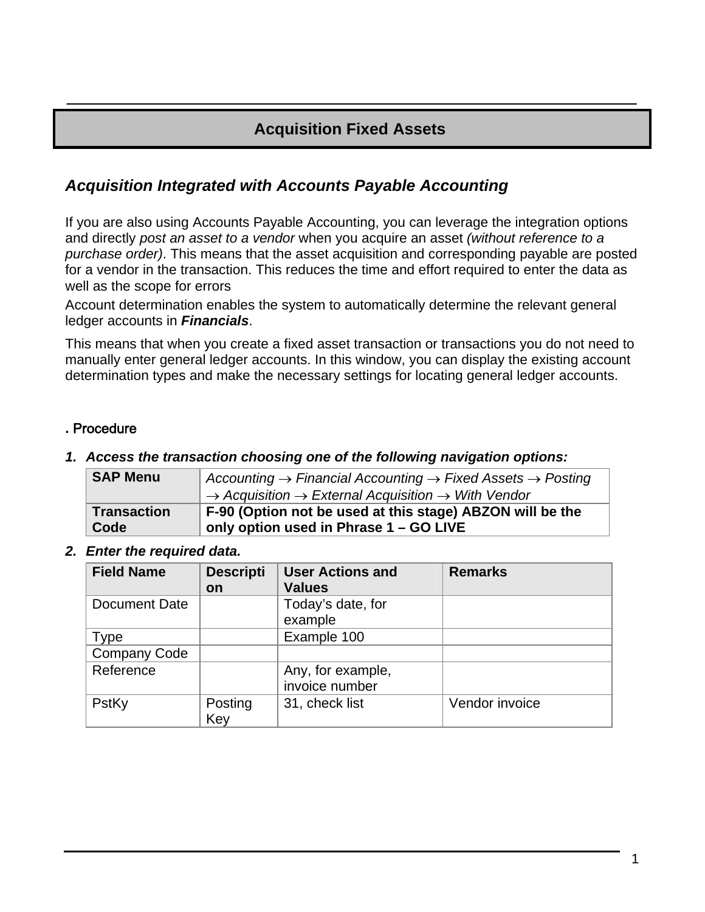## **Acquisition Fixed Assets**

## *Acquisition Integrated with Accounts Payable Accounting*

If you are also using Accounts Payable Accounting, you can leverage the integration options and directly *post an asset to a vendor* when you acquire an asset *(without reference to a purchase order)*. This means that the asset acquisition and corresponding payable are posted for a vendor in the transaction. This reduces the time and effort required to enter the data as well as the scope for errors

Account determination enables the system to automatically determine the relevant general ledger accounts in *Financials*.

This means that when you create a fixed asset transaction or transactions you do not need to manually enter general ledger accounts. In this window, you can display the existing account determination types and make the necessary settings for locating general ledger accounts.

## **.** Procedure

#### *1. Access the transaction choosing one of the following navigation options:*

| <b>SAP Menu</b>    | Accounting $\rightarrow$ Financial Accounting $\rightarrow$ Fixed Assets $\rightarrow$ Posting<br>$\rightarrow$ Acquisition $\rightarrow$ External Acquisition $\rightarrow$ With Vendor |
|--------------------|------------------------------------------------------------------------------------------------------------------------------------------------------------------------------------------|
| <b>Transaction</b> | F-90 (Option not be used at this stage) ABZON will be the                                                                                                                                |
| Code               | only option used in Phrase 1 - GO LIVE                                                                                                                                                   |

*2. Enter the required data.* 

| <b>Field Name</b>    | <b>Descripti</b><br>on | <b>User Actions and</b><br><b>Values</b> | <b>Remarks</b> |
|----------------------|------------------------|------------------------------------------|----------------|
| <b>Document Date</b> |                        | Today's date, for<br>example             |                |
| Type                 |                        | Example 100                              |                |
| <b>Company Code</b>  |                        |                                          |                |
| Reference            |                        | Any, for example,<br>invoice number      |                |
| PstKy                | Posting<br>Key         | 31, check list                           | Vendor invoice |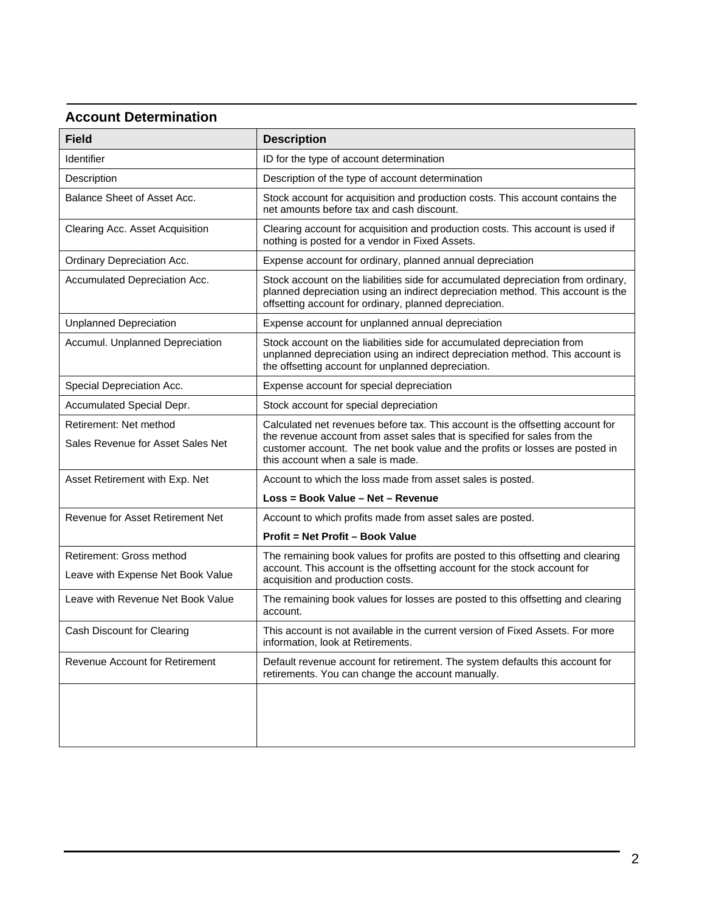## **Account Determination**

| <b>Field</b>                                                | <b>Description</b>                                                                                                                                                                                                                                                               |
|-------------------------------------------------------------|----------------------------------------------------------------------------------------------------------------------------------------------------------------------------------------------------------------------------------------------------------------------------------|
| Identifier                                                  | ID for the type of account determination                                                                                                                                                                                                                                         |
| Description                                                 | Description of the type of account determination                                                                                                                                                                                                                                 |
| Balance Sheet of Asset Acc.                                 | Stock account for acquisition and production costs. This account contains the<br>net amounts before tax and cash discount.                                                                                                                                                       |
| Clearing Acc. Asset Acquisition                             | Clearing account for acquisition and production costs. This account is used if<br>nothing is posted for a vendor in Fixed Assets.                                                                                                                                                |
| Ordinary Depreciation Acc.                                  | Expense account for ordinary, planned annual depreciation                                                                                                                                                                                                                        |
| Accumulated Depreciation Acc.                               | Stock account on the liabilities side for accumulated depreciation from ordinary,<br>planned depreciation using an indirect depreciation method. This account is the<br>offsetting account for ordinary, planned depreciation.                                                   |
| <b>Unplanned Depreciation</b>                               | Expense account for unplanned annual depreciation                                                                                                                                                                                                                                |
| Accumul. Unplanned Depreciation                             | Stock account on the liabilities side for accumulated depreciation from<br>unplanned depreciation using an indirect depreciation method. This account is<br>the offsetting account for unplanned depreciation.                                                                   |
| Special Depreciation Acc.                                   | Expense account for special depreciation                                                                                                                                                                                                                                         |
| Accumulated Special Depr.                                   | Stock account for special depreciation                                                                                                                                                                                                                                           |
| Retirement: Net method<br>Sales Revenue for Asset Sales Net | Calculated net revenues before tax. This account is the offsetting account for<br>the revenue account from asset sales that is specified for sales from the<br>customer account. The net book value and the profits or losses are posted in<br>this account when a sale is made. |
| Asset Retirement with Exp. Net                              | Account to which the loss made from asset sales is posted.                                                                                                                                                                                                                       |
|                                                             | Loss = Book Value - Net - Revenue                                                                                                                                                                                                                                                |
| Revenue for Asset Retirement Net                            | Account to which profits made from asset sales are posted.                                                                                                                                                                                                                       |
|                                                             | Profit = Net Profit - Book Value                                                                                                                                                                                                                                                 |
| Retirement: Gross method                                    | The remaining book values for profits are posted to this offsetting and clearing                                                                                                                                                                                                 |
| Leave with Expense Net Book Value                           | account. This account is the offsetting account for the stock account for<br>acquisition and production costs.                                                                                                                                                                   |
| Leave with Revenue Net Book Value                           | The remaining book values for losses are posted to this offsetting and clearing<br>account.                                                                                                                                                                                      |
| Cash Discount for Clearing                                  | This account is not available in the current version of Fixed Assets. For more<br>information, look at Retirements.                                                                                                                                                              |
| Revenue Account for Retirement                              | Default revenue account for retirement. The system defaults this account for<br>retirements. You can change the account manually.                                                                                                                                                |
|                                                             |                                                                                                                                                                                                                                                                                  |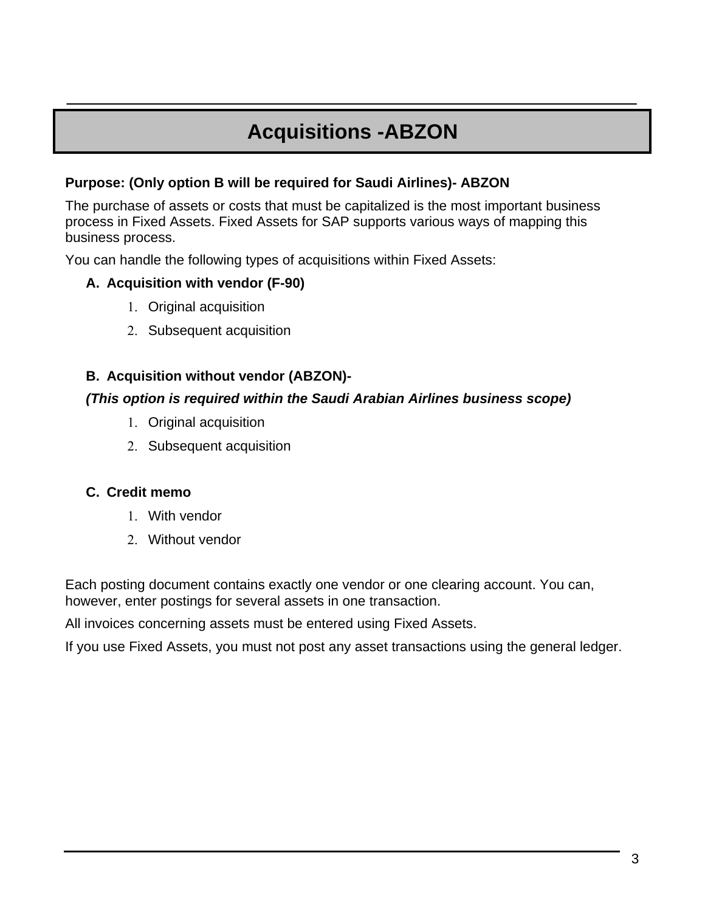# **Acquisitions -ABZON**

## **Purpose: (Only option B will be required for Saudi Airlines)- ABZON**

The purchase of assets or costs that must be capitalized is the most important business process in Fixed Assets. Fixed Assets for SAP supports various ways of mapping this business process.

You can handle the following types of acquisitions within Fixed Assets:

## **A. Acquisition with vendor (F-90)**

- 1. Original acquisition
- 2. Subsequent acquisition

## **B. Acquisition without vendor (ABZON)-**

### *(This option is required within the Saudi Arabian Airlines business scope)*

- 1. Original acquisition
- 2. Subsequent acquisition

## **C. Credit memo**

- 1. With vendor
- 2. Without vendor

Each posting document contains exactly one vendor or one clearing account. You can, however, enter postings for several assets in one transaction.

All invoices concerning assets must be entered using Fixed Assets.

If you use Fixed Assets, you must not post any asset transactions using the general ledger.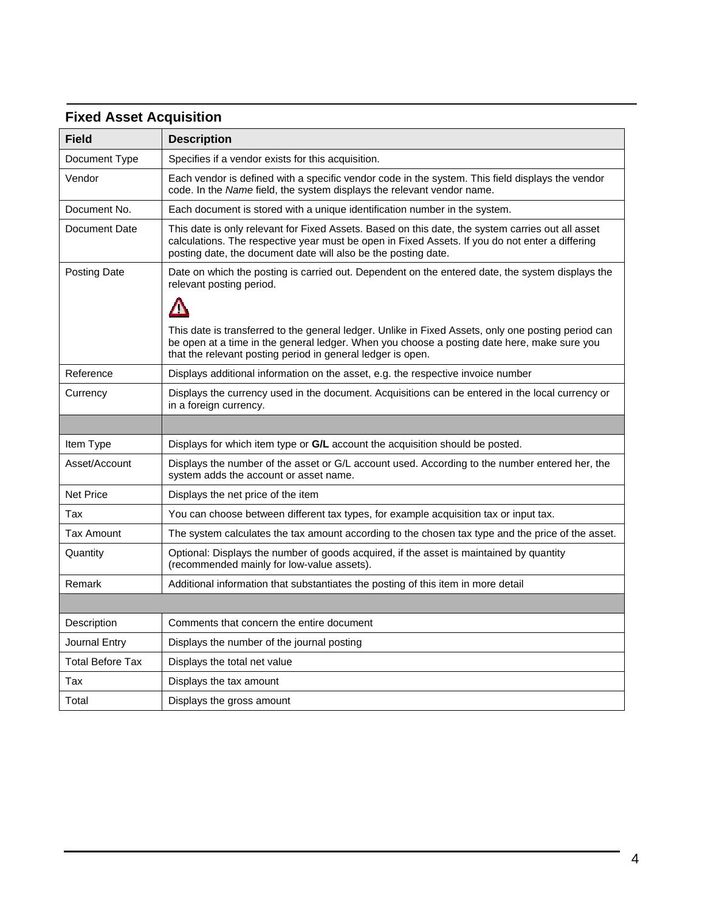## **Fixed Asset Acquisition**

| <b>Field</b>     | <b>Description</b>                                                                                                                                                                                                                                                     |
|------------------|------------------------------------------------------------------------------------------------------------------------------------------------------------------------------------------------------------------------------------------------------------------------|
| Document Type    | Specifies if a vendor exists for this acquisition.                                                                                                                                                                                                                     |
| Vendor           | Each vendor is defined with a specific vendor code in the system. This field displays the vendor<br>code. In the Name field, the system displays the relevant vendor name.                                                                                             |
| Document No.     | Each document is stored with a unique identification number in the system.                                                                                                                                                                                             |
| Document Date    | This date is only relevant for Fixed Assets. Based on this date, the system carries out all asset<br>calculations. The respective year must be open in Fixed Assets. If you do not enter a differing<br>posting date, the document date will also be the posting date. |
| Posting Date     | Date on which the posting is carried out. Dependent on the entered date, the system displays the<br>relevant posting period.                                                                                                                                           |
|                  | Δ                                                                                                                                                                                                                                                                      |
|                  | This date is transferred to the general ledger. Unlike in Fixed Assets, only one posting period can<br>be open at a time in the general ledger. When you choose a posting date here, make sure you<br>that the relevant posting period in general ledger is open.      |
| Reference        | Displays additional information on the asset, e.g. the respective invoice number                                                                                                                                                                                       |
| Currency         | Displays the currency used in the document. Acquisitions can be entered in the local currency or<br>in a foreign currency.                                                                                                                                             |
|                  |                                                                                                                                                                                                                                                                        |
| Item Type        | Displays for which item type or G/L account the acquisition should be posted.                                                                                                                                                                                          |
| Asset/Account    | Displays the number of the asset or G/L account used. According to the number entered her, the<br>system adds the account or asset name.                                                                                                                               |
| <b>Net Price</b> | Displays the net price of the item                                                                                                                                                                                                                                     |
| Tax              | You can choose between different tax types, for example acquisition tax or input tax.                                                                                                                                                                                  |
| Tax Amount       | The system calculates the tax amount according to the chosen tax type and the price of the asset.                                                                                                                                                                      |
| Quantity         | Optional: Displays the number of goods acquired, if the asset is maintained by quantity<br>(recommended mainly for low-value assets).                                                                                                                                  |
| Remark           | Additional information that substantiates the posting of this item in more detail                                                                                                                                                                                      |
|                  |                                                                                                                                                                                                                                                                        |
| Description      | Comments that concern the entire document                                                                                                                                                                                                                              |
| Journal Entry    | Displays the number of the journal posting                                                                                                                                                                                                                             |
| Total Before Tax | Displays the total net value                                                                                                                                                                                                                                           |
| Tax              | Displays the tax amount                                                                                                                                                                                                                                                |
| Total            | Displays the gross amount                                                                                                                                                                                                                                              |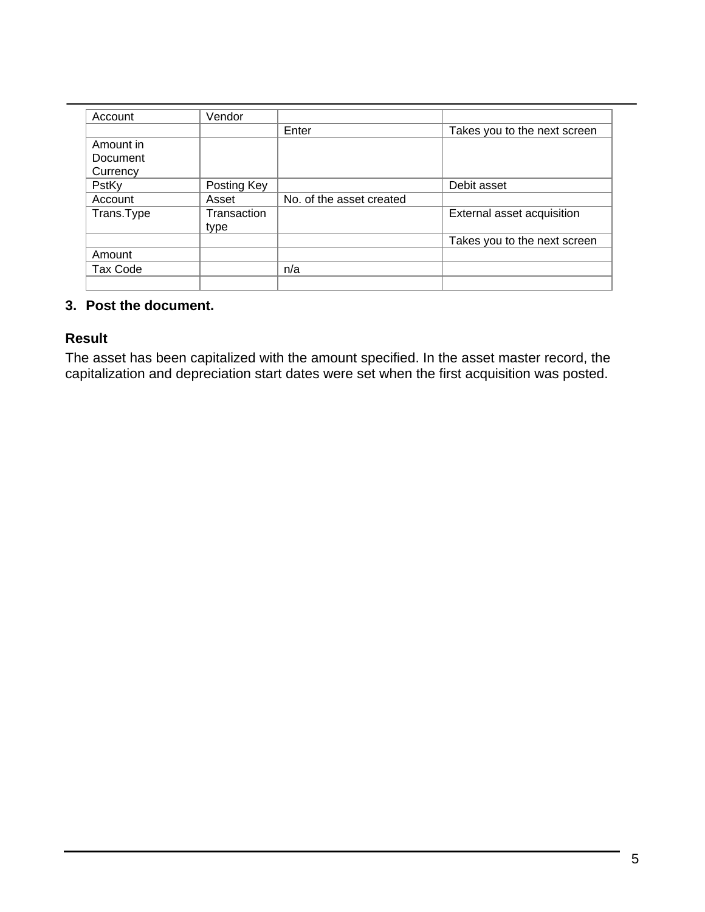| Account         | Vendor      |                          |                              |
|-----------------|-------------|--------------------------|------------------------------|
|                 |             | Enter                    | Takes you to the next screen |
| Amount in       |             |                          |                              |
| Document        |             |                          |                              |
| Currency        |             |                          |                              |
| PstKy           | Posting Key |                          | Debit asset                  |
| Account         | Asset       | No. of the asset created |                              |
| Trans.Type      | Transaction |                          | External asset acquisition   |
|                 | type        |                          |                              |
|                 |             |                          | Takes you to the next screen |
| Amount          |             |                          |                              |
| <b>Tax Code</b> |             | n/a                      |                              |
|                 |             |                          |                              |

## **3. Post the document.**

### **Result**

The asset has been capitalized with the amount specified. In the asset master record, the capitalization and depreciation start dates were set when the first acquisition was posted.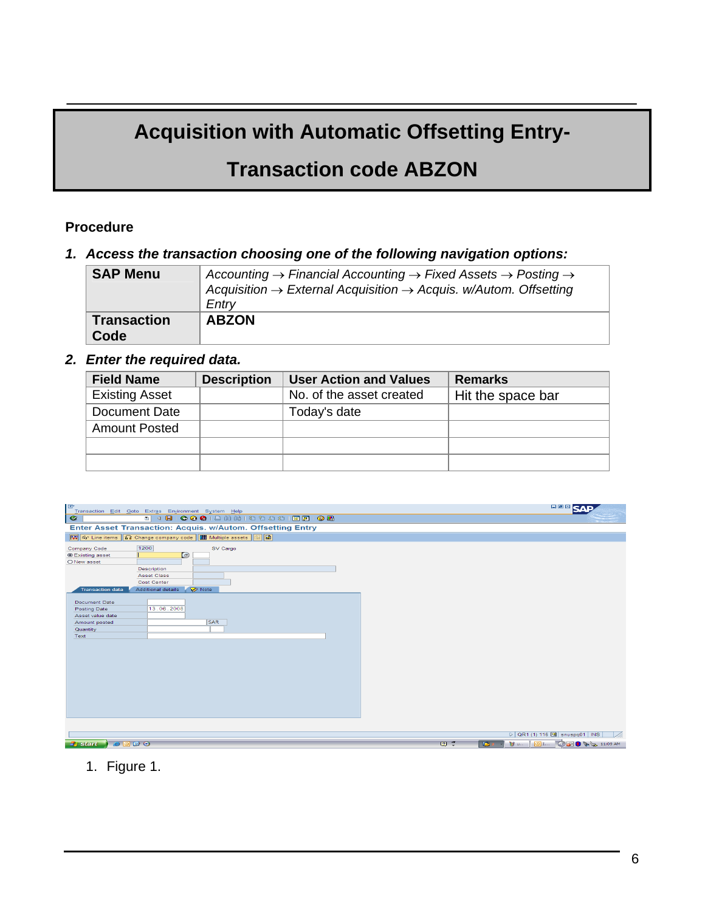# **Acquisition with Automatic Offsetting Entry-**

## **Transaction code ABZON**

#### **Procedure**

### *1. Access the transaction choosing one of the following navigation options:*

| <b>SAP Menu</b>            | Accounting $\rightarrow$ Financial Accounting $\rightarrow$ Fixed Assets $\rightarrow$ Posting $\rightarrow$<br>Acquisition $\rightarrow$ External Acquisition $\rightarrow$ Acquis. w/Autom. Offsetting<br>Entry |
|----------------------------|-------------------------------------------------------------------------------------------------------------------------------------------------------------------------------------------------------------------|
| <b>Transaction</b><br>Code | <b>ABZON</b>                                                                                                                                                                                                      |

### *2. Enter the required data.*

| <b>Field Name</b>     | <b>Description</b> | <b>User Action and Values</b> | <b>Remarks</b>    |
|-----------------------|--------------------|-------------------------------|-------------------|
| <b>Existing Asset</b> |                    | No. of the asset created      | Hit the space bar |
| Document Date         |                    | Today's date                  |                   |
| <b>Amount Posted</b>  |                    |                               |                   |
|                       |                    |                               |                   |
|                       |                    |                               |                   |

| E<br>Transaction Edit Goto Extras Environment System Help                                                                                                                                                           | 日回区                                                               |
|---------------------------------------------------------------------------------------------------------------------------------------------------------------------------------------------------------------------|-------------------------------------------------------------------|
| <sup>5</sup> 4 8 6 6 6 6 6 6 6 6 7 <sup>6</sup> 8 6 7 6 7 6 7 6 7<br>$\bullet$                                                                                                                                      |                                                                   |
| Enter Asset Transaction: Acquis. w/Autom. Offsetting Entry                                                                                                                                                          |                                                                   |
| <b>图 6-Line items 12</b> Change company code <b>图 Multiple assets</b> 图 图                                                                                                                                           |                                                                   |
| 1200<br>Company Code<br>SV Cargo<br><b>Existing asset</b><br>$\bigcirc$<br>O New asset<br>Description<br><b>Asset Class</b><br>Cost Center<br><b>Additional details</b><br><b>Transaction data</b><br><b>D</b> Note |                                                                   |
| <b>Document Date</b><br>13.06.2008<br>Posting Date<br>Asset value date<br><b>SAR</b><br>Amount posted<br>Quantity<br>Text                                                                                           |                                                                   |
|                                                                                                                                                                                                                     | $\triangleright$ QR1 (1) 116 a snuspq01   INS                     |
| 9000<br><b><i>H</i></b> start                                                                                                                                                                                       | <b>MULLER CES &amp; CALL 11:09 AM</b><br>$2^{\circ}$<br><b>IC</b> |

## 1. Figure 1.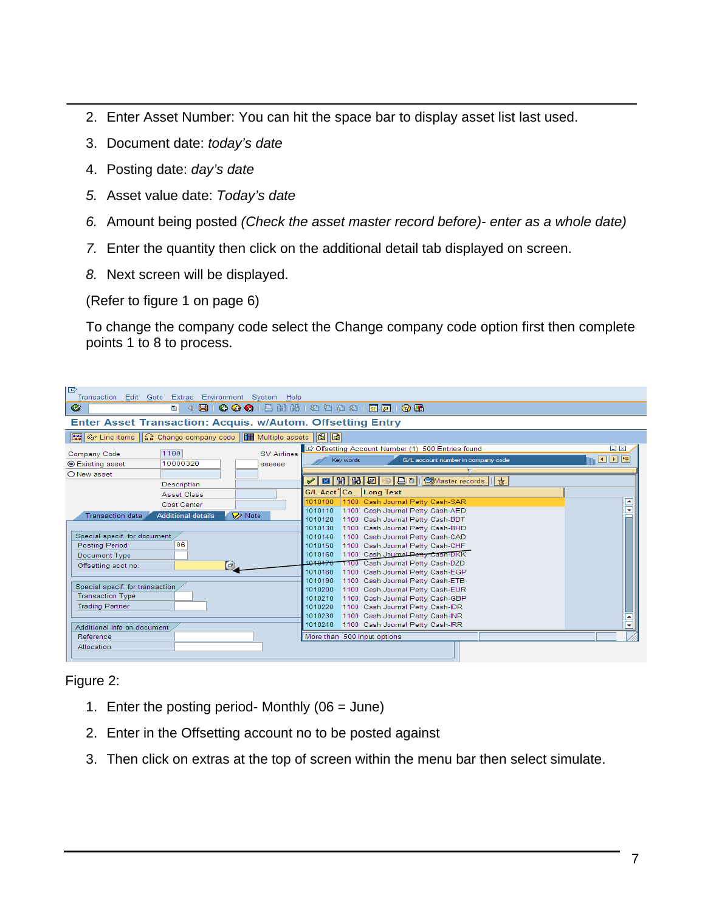- 2. Enter Asset Number: You can hit the space bar to display asset list last used.
- 3. Document date: *today's date*
- 4. Posting date: *day's date*
- *5.* Asset value date: *Today's date*
- *6.* Amount being posted *(Check the asset master record before)- enter as a whole date)*
- *7.* Enter the quantity then click on the additional detail tab displayed on screen.
- *8.* Next screen will be displayed.

(Refer to figure 1 on page 6)

To change the company code select the Change company code option first then complete points 1 to 8 to process.

| IG                                                                   | Transaction Edit Goto Extras Environment System Help |                    |                                                                                 |                     |
|----------------------------------------------------------------------|------------------------------------------------------|--------------------|---------------------------------------------------------------------------------|---------------------|
| Ø                                                                    | e l<br>◁                                             |                    | 8 8 9 8 8 8 8 8 9 9 8 9 8 9 8 9 8 9 8                                           |                     |
|                                                                      |                                                      |                    | <b>Enter Asset Transaction: Acquis. w/Autom. Offsetting Entry</b>               |                     |
| ≪ Line items    名 Change company code    Ⅲ Multiple assets    图    图 |                                                      |                    |                                                                                 |                     |
| Company Code                                                         | 1100                                                 | <b>SV Airlines</b> | Offsetting Account Number (1) 500 Entries found                                 | $\square$ $\square$ |
| <b>◎ Existing asset</b>                                              | 10000326                                             | eeeeee             | G/L account number in company code<br>Key words<br>$\overline{\nabla}$          | ◘⊡⊞                 |
| O New asset                                                          |                                                      |                    | 図   間   間   圏   ®   日       ③Master records  <br>술<br>$\checkmark$              |                     |
|                                                                      | Description                                          |                    | G/L Acct <sup>1</sup> Co Long Text                                              |                     |
|                                                                      | <b>Asset Class</b>                                   |                    | 1100 Cash Journal Petty Cash-SAR<br>1010100                                     | E                   |
|                                                                      | Cost Center                                          |                    | 1100 Cash Journal Petty Cash-AED<br>1010110                                     | ₹                   |
| <b>Transaction data</b>                                              | <b>Additional details</b>                            | <b>⊘</b> Note      | 1010120<br>1100 Cash Journal Petty Cash-BDT                                     |                     |
|                                                                      |                                                      |                    | 1010130<br>1100 Cash Journal Petty Cash-BHD                                     |                     |
| Special specif. for document                                         |                                                      |                    | 1100 Cash Journal Petty Cash-CAD<br>1010140                                     |                     |
| <b>Posting Period</b>                                                | 06                                                   |                    | 1100 Cash Journal Petty Cash-CHF<br>1010150                                     |                     |
| Document Type                                                        |                                                      |                    | 1100 Cash Journal Petty Cash-DKK<br>1010160                                     |                     |
| Offsetting acct no.                                                  | $\left( \sigma \right)$                              |                    | 1010170 1100 Cash Journal Petty Cash-DZD                                        |                     |
|                                                                      |                                                      |                    | 1100 Cash Journal Petty Cash-EGP<br>1010180                                     |                     |
| Special specif. for transaction                                      |                                                      |                    | 1010190<br>1100 Cash Journal Petty Cash-ETB                                     |                     |
| <b>Transaction Type</b>                                              |                                                      |                    | 1100 Cash Journal Petty Cash-EUR<br>1010200                                     |                     |
| <b>Trading Partner</b>                                               |                                                      |                    | 1100 Cash Journal Petty Cash-GBP<br>1010210                                     |                     |
|                                                                      |                                                      |                    | 1010220<br>1100 Cash Journal Petty Cash-IDR<br>1010230                          |                     |
|                                                                      |                                                      |                    | 1100 Cash Journal Petty Cash-INR<br>1010240<br>1100 Cash Journal Petty Cash-IRR | ≂                   |
| Additional info on document                                          |                                                      |                    |                                                                                 |                     |
| Reference                                                            |                                                      |                    | More than 500 input options                                                     |                     |
| Allocation                                                           |                                                      |                    |                                                                                 |                     |

#### Figure 2:

- 1. Enter the posting period- Monthly  $(06 = June)$
- 2. Enter in the Offsetting account no to be posted against
- 3. Then click on extras at the top of screen within the menu bar then select simulate.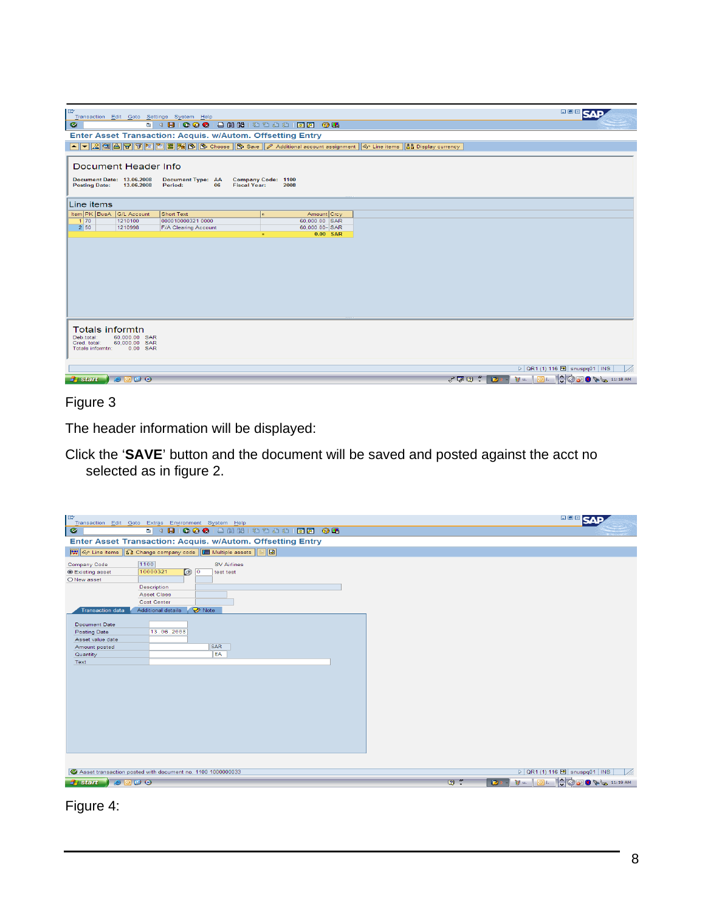| le<br>Transaction Edit Goto Settings System Help                                                                                                        | 口圆図                                                        |
|---------------------------------------------------------------------------------------------------------------------------------------------------------|------------------------------------------------------------|
| ◙                                                                                                                                                       |                                                            |
| Enter Asset Transaction: Acquis. w/Autom. Offsetting Entry                                                                                              |                                                            |
| A V & C A T E E S % C Choose G Save A dditional account assignment G Line items and Display currency                                                    |                                                            |
| Document Header Info                                                                                                                                    |                                                            |
| Document Date: 13.06.2008<br>Posting Date: 13.06.2008<br><b>Document Type: AA</b><br>Company Code: 1100<br>Period:<br>06<br><b>Fiscal Year:</b><br>2008 |                                                            |
| Line items                                                                                                                                              |                                                            |
| Item PK BusA G/L Account<br>Amount Crcy<br>Short Text                                                                                                   |                                                            |
| $1170$<br>1210100<br>000010000321 0000<br>60,000.00 SAR<br>2 50 <br>1210998<br>60.000.00-SAR<br><b>F/A Clearing Account</b>                             |                                                            |
| 0.00 SAR                                                                                                                                                |                                                            |
|                                                                                                                                                         |                                                            |
| <b>Totals informtn</b><br>Deb total:<br>60,000.00 SAR<br>60,000.00 SAR<br>Cred. total:<br>0.00 SAR<br>Totals informtn:                                  | $\triangleright$ QR1 (1) 116 $\blacksquare$ snuspq01   INS |
| 9000<br>$\mathbb{Z} \times \mathbb{Z}$<br><b>P</b><br><b>初山</b><br>$H$ start                                                                            | <b>OI.</b> COOKS 11:18 AM                                  |
|                                                                                                                                                         |                                                            |

Figure 3

The header information will be displayed:

Click the '**SAVE**' button and the document will be saved and posted against the acct no selected as in figure 2.

| 8 4 8 6 6 6 1 8 1 8 1 8 1 8 1 8 8 1 8 8 1 8 8<br>$\bullet$<br>Enter Asset Transaction: Acquis. w/Autom. Offsetting Entry<br>国国<br>1100<br><b>SV Airlines</b><br>Company Code<br>10000321<br>$\Theta$ $\theta$<br><b>Existing asset</b><br>test test<br>O New asset<br>Description<br>Asset Class<br>Cost Center<br>Additional details<br><b>V</b> Note<br><b>Transaction data</b><br>Document Date<br>13.06.2008<br>Posting Date<br>Asset value date<br><b>SAR</b><br>Amount posted<br>EA<br>Quantity<br>Text<br>D QR1 (1) 116 B snuspq01   INS<br>Asset transaction posted with document no. 1100 1000000033<br>27<br>$H$ start | IG<br>Transaction Edit Goto Extras Environment System Help | 日回因。                                                                                                                         |
|----------------------------------------------------------------------------------------------------------------------------------------------------------------------------------------------------------------------------------------------------------------------------------------------------------------------------------------------------------------------------------------------------------------------------------------------------------------------------------------------------------------------------------------------------------------------------------------------------------------------------------|------------------------------------------------------------|------------------------------------------------------------------------------------------------------------------------------|
|                                                                                                                                                                                                                                                                                                                                                                                                                                                                                                                                                                                                                                  |                                                            |                                                                                                                              |
|                                                                                                                                                                                                                                                                                                                                                                                                                                                                                                                                                                                                                                  |                                                            |                                                                                                                              |
|                                                                                                                                                                                                                                                                                                                                                                                                                                                                                                                                                                                                                                  |                                                            |                                                                                                                              |
|                                                                                                                                                                                                                                                                                                                                                                                                                                                                                                                                                                                                                                  |                                                            |                                                                                                                              |
|                                                                                                                                                                                                                                                                                                                                                                                                                                                                                                                                                                                                                                  |                                                            |                                                                                                                              |
|                                                                                                                                                                                                                                                                                                                                                                                                                                                                                                                                                                                                                                  |                                                            |                                                                                                                              |
|                                                                                                                                                                                                                                                                                                                                                                                                                                                                                                                                                                                                                                  | 9000                                                       | $\mathcal{Y}$ u. $\boxed{\text{O}}$ i. $\boxed{\downarrow}$ $\boxed{\circ}$ 9 $\mathcal{Y}$ $\downarrow$ 11:19 AM<br>$B = -$ |

Figure 4: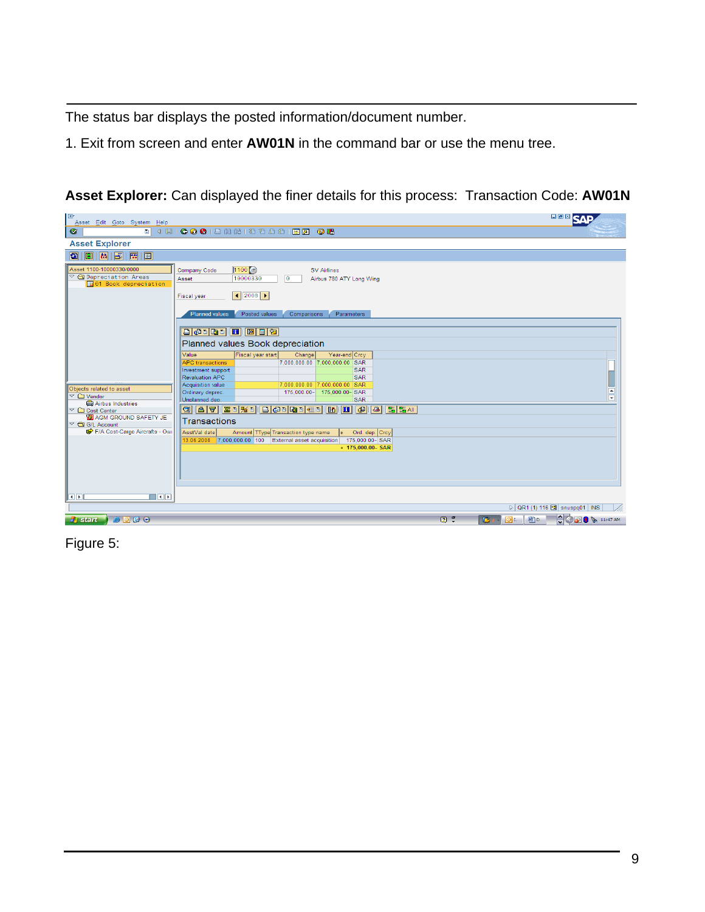The status bar displays the posted information/document number.

1. Exit from screen and enter **AW01N** in the command bar or use the menu tree.

**Asset Explorer:** Can displayed the finer details for this process: Transaction Code: **AW01N**

| le<br>Asset Edit Goto System Help                                                                     |                                                                                                                                                                                                                                                                                                                                                                                                         | <b>BBASAP</b>                                                              |
|-------------------------------------------------------------------------------------------------------|---------------------------------------------------------------------------------------------------------------------------------------------------------------------------------------------------------------------------------------------------------------------------------------------------------------------------------------------------------------------------------------------------------|----------------------------------------------------------------------------|
| Ø                                                                                                     | 0 4 9 1 0 0 0 1 3 3 3 4 5 6 7 8 9 8 1 8 8 8                                                                                                                                                                                                                                                                                                                                                             |                                                                            |
| <b>Asset Explorer</b>                                                                                 |                                                                                                                                                                                                                                                                                                                                                                                                         |                                                                            |
| a                                                                                                     |                                                                                                                                                                                                                                                                                                                                                                                                         |                                                                            |
| Asset 1100-10000330/0000<br>O Depreciation Areas<br><b>E01</b> Book depreciation                      | $1100$ $G$<br>Company Code<br><b>SV Airlines</b><br>10000330<br>lΘ<br>Asset<br>Airbus 780 ATY Long Wing<br>12008<br><b>Fiscal year</b><br><b>Planned values</b><br>Posted values<br>Comparisons<br>Parameters                                                                                                                                                                                           |                                                                            |
| Objects related to asset<br>$\overline{\phantom{C}}$ $\Box$ Vendor<br>Airbus Industries               | <b>B &amp; B H H B E Y</b><br>Planned values Book depreciation<br>Year-end Crcy<br>Fiscal year start<br>Change<br>Value<br>7.000.000.00 7.000.000.00 SAR<br><b>APC</b> transactions<br>Investment support<br><b>SAR</b><br><b>Revaluation APC</b><br><b>SAR</b><br>Acquisition value<br>7,000,000.00 7,000,000.00 SAR<br>Ordinary deprec.<br>175,000.00- 175,000.00-SAR<br>Unplanned dep.<br><b>SAR</b> | ▣<br>$\overline{\phantom{a}}$                                              |
| ▽ □ Cost Center<br><b>B</b> AGM GROUND SAFETY JE<br>▽ △ G/L Account<br>F/A Cost-Cargo Aircrafts - Owi | Q   A   7     2   0   3   0   4   0   0   0   0   4   0   10   0   0   0   0   3   5 A  <br><b>Transactions</b><br>Amount Type Transaction type name<br>AsstVal date<br>D Ord. dep. Crcy<br>13.06.2008 7.000.000.00 100 External asset acquisition<br>175,000.00-SAR<br>$-175,000.00 - SAR$                                                                                                             |                                                                            |
| $\overline{\mathbb{R}}$<br><b>FEE</b>                                                                 |                                                                                                                                                                                                                                                                                                                                                                                                         |                                                                            |
|                                                                                                       |                                                                                                                                                                                                                                                                                                                                                                                                         | D QR1 (1) 116 B snuspq01   INS                                             |
| 9000<br><b>H</b> start                                                                                | $2^{\circ}$<br>B<br>D.<br>$\circ$ I.                                                                                                                                                                                                                                                                                                                                                                    | $\bigcirc$ $\bigcirc$ $\bigcirc$ $\bigcirc$ $\bigcirc$ $\bigcirc$ 11:47 AM |

Figure 5: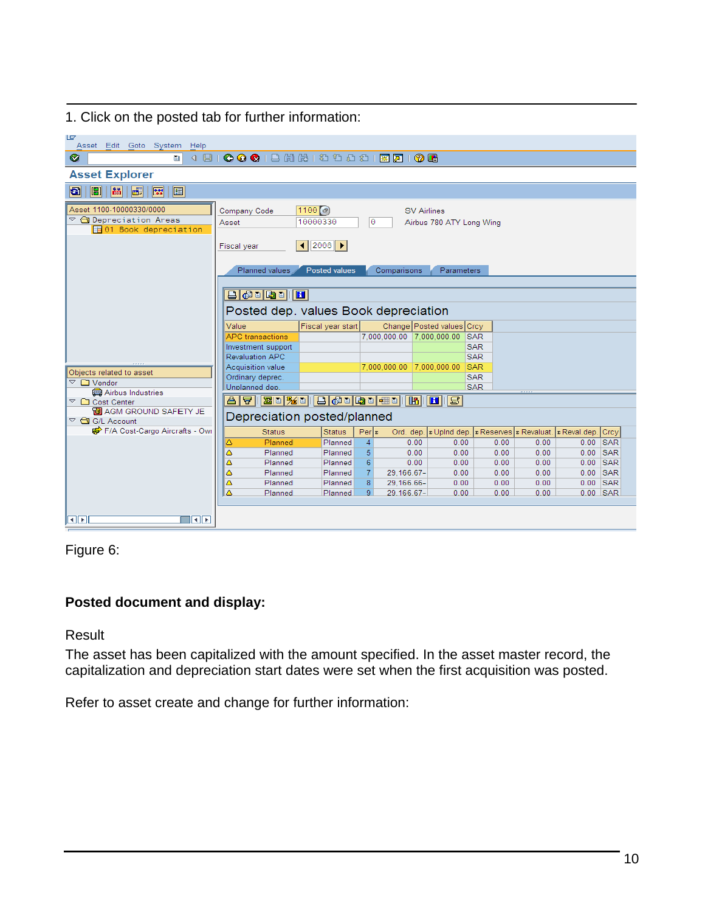1. Click on the posted tab for further information:

| lg<br>Asset Edit Goto System<br>Help                                                     |                                                                                                                                                                      |                   |                   |             |                                                                 |                          |      |            |  |
|------------------------------------------------------------------------------------------|----------------------------------------------------------------------------------------------------------------------------------------------------------------------|-------------------|-------------------|-------------|-----------------------------------------------------------------|--------------------------|------|------------|--|
| 00012 32 22 23 24 35 46<br>Ø<br>4 周1<br>圁                                                |                                                                                                                                                                      |                   |                   |             |                                                                 |                          |      |            |  |
| <b>Asset Explorer</b>                                                                    |                                                                                                                                                                      |                   |                   |             |                                                                 |                          |      |            |  |
| $\mathbb{R}^n$<br>圖<br> 8 <br>圖<br>$\blacksquare$<br>а                                   |                                                                                                                                                                      |                   |                   |             |                                                                 |                          |      |            |  |
| Asset 1100-10000330/0000<br>▽ ← Depreciation Areas<br><b>E</b> 01 Book depreciation      | 1100 (a)<br>Company Code<br><b>SV Airlines</b><br>10000330<br>lΘ<br>Airbus 780 ATY Long Wing<br>Asset<br>$\left  1 \right $ 2008   $\left  1 \right $<br>Fiscal year |                   |                   |             |                                                                 |                          |      |            |  |
|                                                                                          | Planned values<br><b>Posted values</b><br>Comparisons<br>Parameters                                                                                                  |                   |                   |             |                                                                 |                          |      |            |  |
|                                                                                          |                                                                                                                                                                      |                   |                   |             |                                                                 |                          |      |            |  |
| $\blacksquare$                                                                           |                                                                                                                                                                      |                   |                   |             |                                                                 |                          |      |            |  |
|                                                                                          | Posted dep. values Book depreciation                                                                                                                                 |                   |                   |             |                                                                 |                          |      |            |  |
|                                                                                          | Value                                                                                                                                                                | Fiscal year start |                   |             | Change Posted values Crcy                                       |                          |      |            |  |
|                                                                                          | <b>APC</b> transactions                                                                                                                                              |                   |                   |             | 7.000.000.00 7.000.000.00                                       | <b>SAR</b>               |      |            |  |
|                                                                                          | Investment support                                                                                                                                                   |                   |                   |             |                                                                 | <b>SAR</b>               |      |            |  |
|                                                                                          | <b>Revaluation APC</b><br>Acquisition value                                                                                                                          |                   |                   |             | 7.000.000.00 7.000.000.00                                       | <b>SAR</b><br><b>SAR</b> |      |            |  |
| Objects related to asset                                                                 | Ordinary deprec.                                                                                                                                                     |                   |                   |             |                                                                 | <b>SAR</b>               |      |            |  |
| $\overline{\phantom{a}}$ $\Box$ Vendor                                                   | Unplanned dep.                                                                                                                                                       |                   |                   |             |                                                                 | <b>SAR</b>               |      |            |  |
| <b>Airbus Industries</b>                                                                 |                                                                                                                                                                      |                   |                   |             |                                                                 |                          |      |            |  |
| <b>ZIE <u>WEILBERGEBERGEN (BI</u>ELBE</b><br>81<br>冒<br>$\heartsuit$ $\Box$ Cost Center  |                                                                                                                                                                      |                   |                   |             |                                                                 |                          |      |            |  |
| <b>B</b> AGM GROUND SAFETY JE<br>Depreciation posted/planned<br>$\heartsuit$ G/L Account |                                                                                                                                                                      |                   |                   |             |                                                                 |                          |      |            |  |
| F/A Cost-Cargo Aircrafts - Owi                                                           | <b>Status</b>                                                                                                                                                        | <b>Status</b>     | Per  <sub>z</sub> |             | Ord. dep. E Upind dep. E Reserves E Revaluat. E Reval.dep. Crcy |                          |      |            |  |
|                                                                                          | Planned<br>Δ                                                                                                                                                         | Planned           | $\overline{4}$    | 0.00        | 0.00                                                            | 0.00                     | 0.00 | $0.00$ SAR |  |
|                                                                                          | Δ<br>Planned                                                                                                                                                         | Planned           | 5.                | 0.00        | 0.00                                                            | 0.00                     | 0.00 | $0.00$ SAR |  |
|                                                                                          | Δ<br>Planned                                                                                                                                                         | Planned           | 6                 | 0.00        | 0.00                                                            | 0.00                     | 0.00 | $0.00$ SAR |  |
|                                                                                          | Δ<br>Planned                                                                                                                                                         | Planned           | $\overline{7}$    | 29.166.67-  | 0.00                                                            | 0.00                     | 0.00 | $0.00$ SAR |  |
|                                                                                          | Δ<br>Planned                                                                                                                                                         | Planned           | 8                 | 29, 166.66- | 0.00                                                            | 0.00                     | 0.00 | $0.00$ SAR |  |
|                                                                                          | ۵<br>Planned                                                                                                                                                         | Planned           | 9                 | 29.166.67-  | 0.00                                                            | 0.00                     | 0.00 | $0.00$ SAR |  |
|                                                                                          |                                                                                                                                                                      |                   |                   |             |                                                                 |                          |      |            |  |
| ।बाह<br><b>FE</b>                                                                        |                                                                                                                                                                      |                   |                   |             |                                                                 |                          |      |            |  |



## **Posted document and display:**

Result

The asset has been capitalized with the amount specified. In the asset master record, the capitalization and depreciation start dates were set when the first acquisition was posted.

Refer to asset create and change for further information: